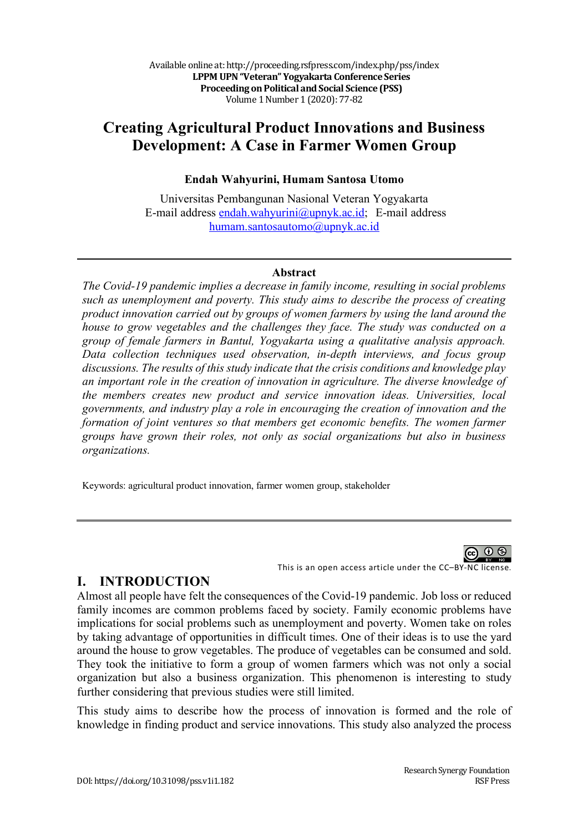# **Creating Agricultural Product Innovations and Business Development: A Case in Farmer Women Group**

## **Endah Wahyurini, Humam Santosa Utomo**

Universitas Pembangunan Nasional Veteran Yogyakarta E-mail address endah.wahyurini@upnyk.ac.id; E-mail address humam.santosautomo@upnyk.ac.id

#### **Abstract**

*The Covid-19 pandemic implies a decrease in family income, resulting in social problems such as unemployment and poverty. This study aims to describe the process of creating product innovation carried out by groups of women farmers by using the land around the house to grow vegetables and the challenges they face. The study was conducted on a group of female farmers in Bantul, Yogyakarta using a qualitative analysis approach. Data collection techniques used observation, in-depth interviews, and focus group discussions. The results of this study indicate that the crisis conditions and knowledge play an important role in the creation of innovation in agriculture. The diverse knowledge of the members creates new product and service innovation ideas. Universities, local governments, and industry play a role in encouraging the creation of innovation and the formation of joint ventures so that members get economic benefits. The women farmer groups have grown their roles, not only as social organizations but also in business organizations.*

Keywords: agricultural product innovation, farmer women group, stakeholder



## **I. INTRODUCTION**

Almost all people have felt the consequences of the Covid-19 pandemic. Job loss or reduced family incomes are common problems faced by society. Family economic problems have implications for social problems such as unemployment and poverty. Women take on roles by taking advantage of opportunities in difficult times. One of their ideas is to use the yard around the house to grow vegetables. The produce of vegetables can be consumed and sold. They took the initiative to form a group of women farmers which was not only a social organization but also a business organization. This phenomenon is interesting to study further considering that previous studies were still limited.

This study aims to describe how the process of innovation is formed and the role of knowledge in finding product and service innovations. This study also analyzed the process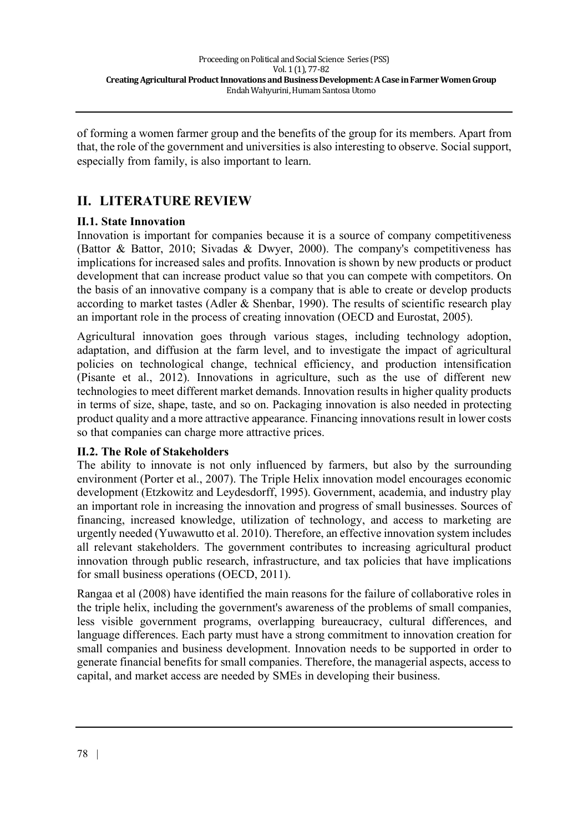of forming a women farmer group and the benefits of the group for its members. Apart from that, the role of the government and universities is also interesting to observe. Social support, especially from family, is also important to learn.

## **II. LITERATURE REVIEW**

## **II.1. State Innovation**

Innovation is important for companies because it is a source of company competitiveness (Battor & Battor, 2010; Sivadas & Dwyer, 2000). The company's competitiveness has implications for increased sales and profits. Innovation is shown by new products or product development that can increase product value so that you can compete with competitors. On the basis of an innovative company is a company that is able to create or develop products according to market tastes (Adler & Shenbar, 1990). The results of scientific research play an important role in the process of creating innovation (OECD and Eurostat, 2005).

Agricultural innovation goes through various stages, including technology adoption, adaptation, and diffusion at the farm level, and to investigate the impact of agricultural policies on technological change, technical efficiency, and production intensification (Pisante et al., 2012). Innovations in agriculture, such as the use of different new technologies to meet different market demands. Innovation results in higher quality products in terms of size, shape, taste, and so on. Packaging innovation is also needed in protecting product quality and a more attractive appearance. Financing innovations result in lower costs so that companies can charge more attractive prices.

## **II.2. The Role of Stakeholders**

The ability to innovate is not only influenced by farmers, but also by the surrounding environment (Porter et al., 2007). The Triple Helix innovation model encourages economic development (Etzkowitz and Leydesdorff, 1995). Government, academia, and industry play an important role in increasing the innovation and progress of small businesses. Sources of financing, increased knowledge, utilization of technology, and access to marketing are urgently needed (Yuwawutto et al. 2010). Therefore, an effective innovation system includes all relevant stakeholders. The government contributes to increasing agricultural product innovation through public research, infrastructure, and tax policies that have implications for small business operations (OECD, 2011).

Rangaa et al (2008) have identified the main reasons for the failure of collaborative roles in the triple helix, including the government's awareness of the problems of small companies, less visible government programs, overlapping bureaucracy, cultural differences, and language differences. Each party must have a strong commitment to innovation creation for small companies and business development. Innovation needs to be supported in order to generate financial benefits for small companies. Therefore, the managerial aspects, access to capital, and market access are needed by SMEs in developing their business.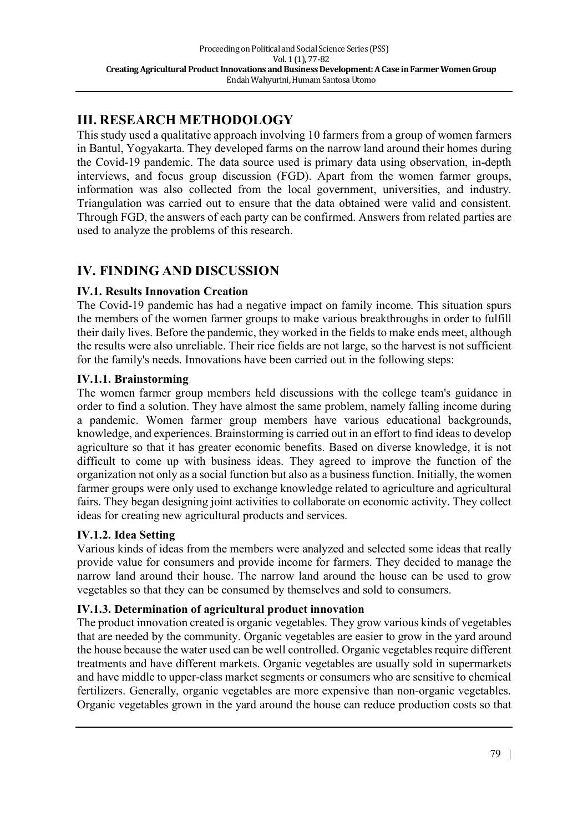# **III. RESEARCH METHODOLOGY**

This study used a qualitative approach involving 10 farmers from a group of women farmers in Bantul, Yogyakarta. They developed farms on the narrow land around their homes during the Covid-19 pandemic. The data source used is primary data using observation, in-depth interviews, and focus group discussion (FGD). Apart from the women farmer groups, information was also collected from the local government, universities, and industry. Triangulation was carried out to ensure that the data obtained were valid and consistent. Through FGD, the answers of each party can be confirmed. Answers from related parties are used to analyze the problems of this research.

# **IV. FINDING AND DISCUSSION**

## **IV.1. Results Innovation Creation**

The Covid-19 pandemic has had a negative impact on family income. This situation spurs the members of the women farmer groups to make various breakthroughs in order to fulfill their daily lives. Before the pandemic, they worked in the fields to make ends meet, although the results were also unreliable. Their rice fields are not large, so the harvest is not sufficient for the family's needs. Innovations have been carried out in the following steps:

## **IV.1.1. Brainstorming**

The women farmer group members held discussions with the college team's guidance in order to find a solution. They have almost the same problem, namely falling income during a pandemic. Women farmer group members have various educational backgrounds, knowledge, and experiences. Brainstorming is carried out in an effort to find ideas to develop agriculture so that it has greater economic benefits. Based on diverse knowledge, it is not difficult to come up with business ideas. They agreed to improve the function of the organization not only as a social function but also as a business function. Initially, the women farmer groups were only used to exchange knowledge related to agriculture and agricultural fairs. They began designing joint activities to collaborate on economic activity. They collect ideas for creating new agricultural products and services.

## **IV.1.2. Idea Setting**

Various kinds of ideas from the members were analyzed and selected some ideas that really provide value for consumers and provide income for farmers. They decided to manage the narrow land around their house. The narrow land around the house can be used to grow vegetables so that they can be consumed by themselves and sold to consumers.

## **IV.1.3. Determination of agricultural product innovation**

The product innovation created is organic vegetables. They grow various kinds of vegetables that are needed by the community. Organic vegetables are easier to grow in the yard around the house because the water used can be well controlled. Organic vegetables require different treatments and have different markets. Organic vegetables are usually sold in supermarkets and have middle to upper-class market segments or consumers who are sensitive to chemical fertilizers. Generally, organic vegetables are more expensive than non-organic vegetables. Organic vegetables grown in the yard around the house can reduce production costs so that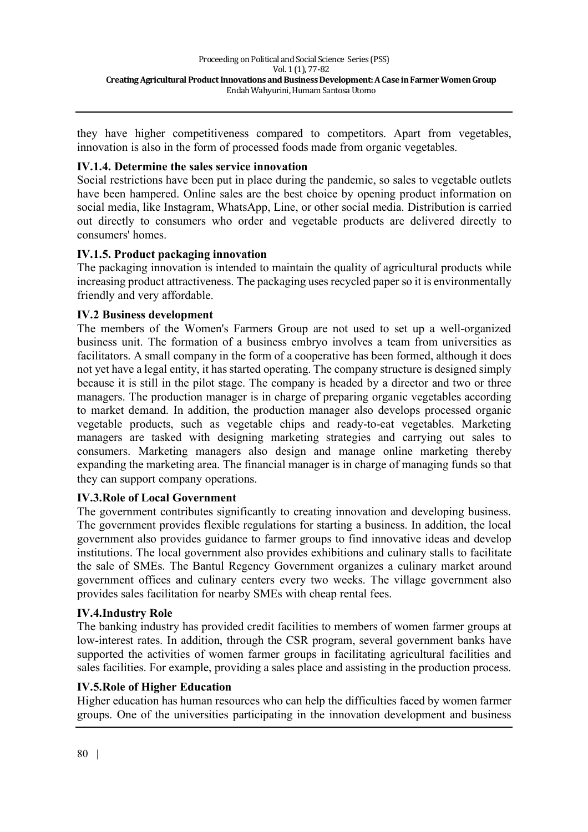they have higher competitiveness compared to competitors. Apart from vegetables, innovation is also in the form of processed foods made from organic vegetables.

#### **IV.1.4. Determine the sales service innovation**

Social restrictions have been put in place during the pandemic, so sales to vegetable outlets have been hampered. Online sales are the best choice by opening product information on social media, like Instagram, WhatsApp, Line, or other social media. Distribution is carried out directly to consumers who order and vegetable products are delivered directly to consumers' homes.

## **IV.1.5. Product packaging innovation**

The packaging innovation is intended to maintain the quality of agricultural products while increasing product attractiveness. The packaging uses recycled paper so it is environmentally friendly and very affordable.

#### **IV.2 Business development**

The members of the Women's Farmers Group are not used to set up a well-organized business unit. The formation of a business embryo involves a team from universities as facilitators. A small company in the form of a cooperative has been formed, although it does not yet have a legal entity, it has started operating. The company structure is designed simply because it is still in the pilot stage. The company is headed by a director and two or three managers. The production manager is in charge of preparing organic vegetables according to market demand. In addition, the production manager also develops processed organic vegetable products, such as vegetable chips and ready-to-eat vegetables. Marketing managers are tasked with designing marketing strategies and carrying out sales to consumers. Marketing managers also design and manage online marketing thereby expanding the marketing area. The financial manager is in charge of managing funds so that they can support company operations.

## **IV.3.Role of Local Government**

The government contributes significantly to creating innovation and developing business. The government provides flexible regulations for starting a business. In addition, the local government also provides guidance to farmer groups to find innovative ideas and develop institutions. The local government also provides exhibitions and culinary stalls to facilitate the sale of SMEs. The Bantul Regency Government organizes a culinary market around government offices and culinary centers every two weeks. The village government also provides sales facilitation for nearby SMEs with cheap rental fees.

#### **IV.4.Industry Role**

The banking industry has provided credit facilities to members of women farmer groups at low-interest rates. In addition, through the CSR program, several government banks have supported the activities of women farmer groups in facilitating agricultural facilities and sales facilities. For example, providing a sales place and assisting in the production process.

#### **IV.5.Role of Higher Education**

Higher education has human resources who can help the difficulties faced by women farmer groups. One of the universities participating in the innovation development and business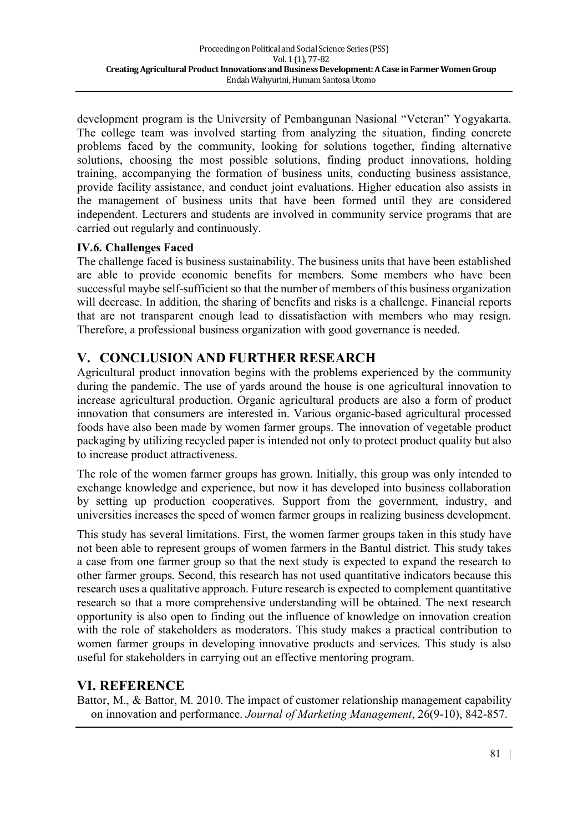development program is the University of Pembangunan Nasional "Veteran" Yogyakarta. The college team was involved starting from analyzing the situation, finding concrete problems faced by the community, looking for solutions together, finding alternative solutions, choosing the most possible solutions, finding product innovations, holding training, accompanying the formation of business units, conducting business assistance, provide facility assistance, and conduct joint evaluations. Higher education also assists in the management of business units that have been formed until they are considered independent. Lecturers and students are involved in community service programs that are carried out regularly and continuously.

## **IV.6. Challenges Faced**

The challenge faced is business sustainability. The business units that have been established are able to provide economic benefits for members. Some members who have been successful maybe self-sufficient so that the number of members of this business organization will decrease. In addition, the sharing of benefits and risks is a challenge. Financial reports that are not transparent enough lead to dissatisfaction with members who may resign. Therefore, a professional business organization with good governance is needed.

## **V. CONCLUSION AND FURTHER RESEARCH**

Agricultural product innovation begins with the problems experienced by the community during the pandemic. The use of yards around the house is one agricultural innovation to increase agricultural production. Organic agricultural products are also a form of product innovation that consumers are interested in. Various organic-based agricultural processed foods have also been made by women farmer groups. The innovation of vegetable product packaging by utilizing recycled paper is intended not only to protect product quality but also to increase product attractiveness.

The role of the women farmer groups has grown. Initially, this group was only intended to exchange knowledge and experience, but now it has developed into business collaboration by setting up production cooperatives. Support from the government, industry, and universities increases the speed of women farmer groups in realizing business development.

This study has several limitations. First, the women farmer groups taken in this study have not been able to represent groups of women farmers in the Bantul district. This study takes a case from one farmer group so that the next study is expected to expand the research to other farmer groups. Second, this research has not used quantitative indicators because this research uses a qualitative approach. Future research is expected to complement quantitative research so that a more comprehensive understanding will be obtained. The next research opportunity is also open to finding out the influence of knowledge on innovation creation with the role of stakeholders as moderators. This study makes a practical contribution to women farmer groups in developing innovative products and services. This study is also useful for stakeholders in carrying out an effective mentoring program.

## **VI. REFERENCE**

Battor, M., & Battor, M. 2010. The impact of customer relationship management capability on innovation and performance. *Journal of Marketing Management*, 26(9-10), 842-857.